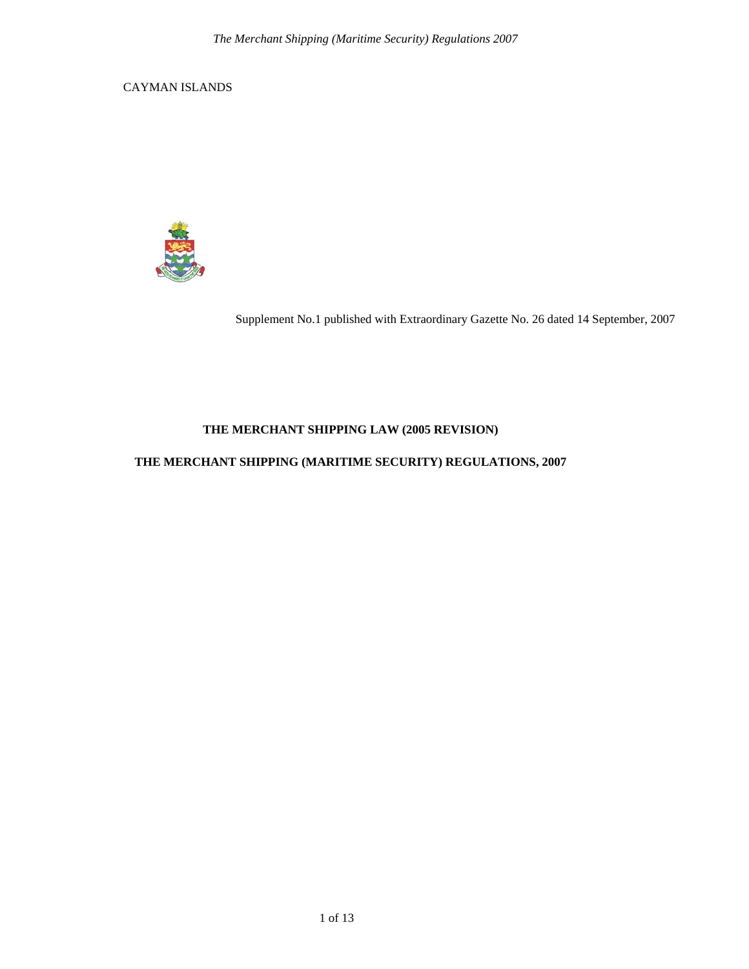CAYMAN ISLANDS



Supplement No.1 published with Extraordinary Gazette No. 26 dated 14 September, 2007

# **THE MERCHANT SHIPPING LAW (2005 REVISION)**

# **THE MERCHANT SHIPPING (MARITIME SECURITY) REGULATIONS, 2007**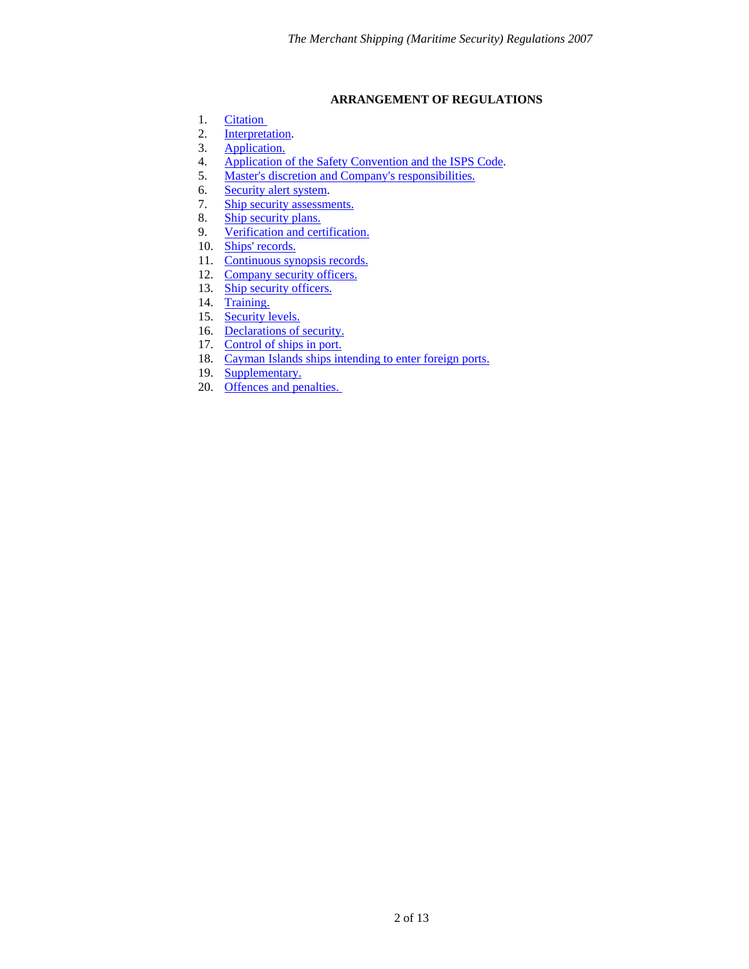#### **ARRANGEMENT OF REGULATIONS**

- <span id="page-1-0"></span>1. [Citation](#page-2-0)
- 2. [Interpretation](#page-2-1).
- 3. [Application.](#page-2-2)
- 4. [Application of the Safety Convention and the ISPS Code](#page-3-0).<br>5. Master's discretion and Company's responsibilities.
- [Master's discretion and Company's responsibilities.](#page-3-1)
- 6. [Security alert system.](#page-4-0)
- 7. [Ship security assessments.](#page-4-1)
- 8. [Ship security plans.](#page-4-2)
- 9. [Verification and certification.](#page-6-0)
- 10. [Ships' records.](#page-7-0)
- 11. [Continuous synopsis records.](#page-7-1)
- 12. [Company security officers.](#page-8-0)
- 13. [Ship security officers.](#page-8-1)
- 14. [Training.](#page-8-2)
- 15. [Security levels.](#page-9-0)
- 16. [Declarations of security.](#page-9-1)
- 17. [Control of ships in port.](#page-9-2)
- 18. [Cayman Islands ships intending to enter foreign ports.](#page-10-0)
- 19. [Supplementary.](#page-10-1)
- 20. [Offences and penalties.](#page-10-2)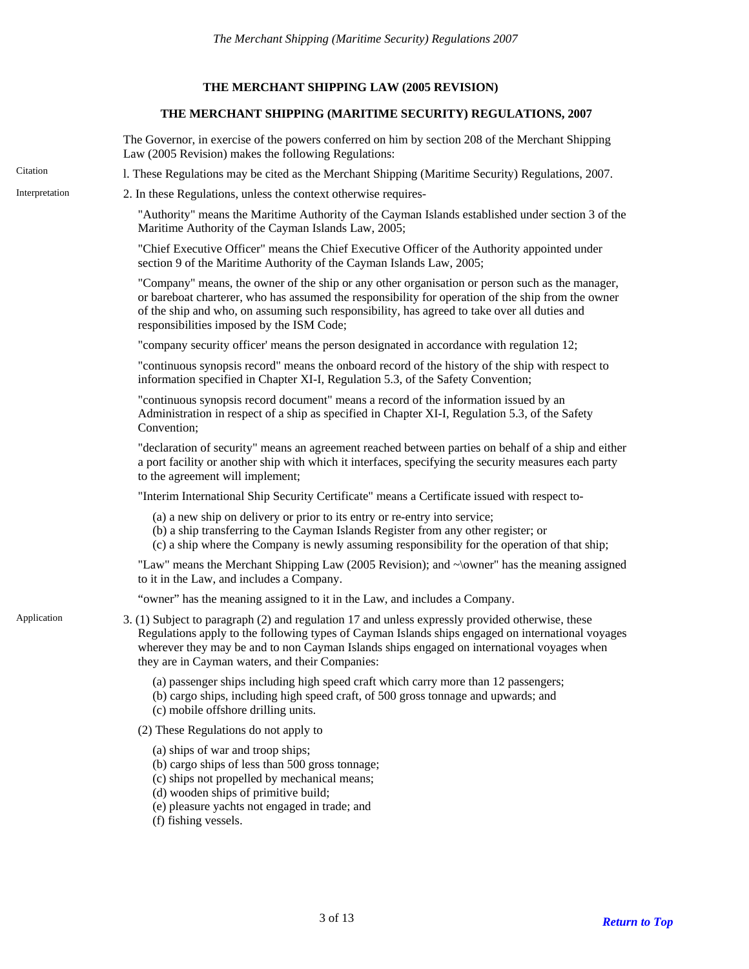### **THE MERCHANT SHIPPING LAW (2005 REVISION)**

### **THE MERCHANT SHIPPING (MARITIME SECURITY) REGULATIONS, 2007**

<span id="page-2-2"></span><span id="page-2-1"></span><span id="page-2-0"></span>

|                | The Governor, in exercise of the powers conferred on him by section 208 of the Merchant Shipping<br>Law (2005 Revision) makes the following Regulations:                                                                                                                                                                                               |  |  |  |  |
|----------------|--------------------------------------------------------------------------------------------------------------------------------------------------------------------------------------------------------------------------------------------------------------------------------------------------------------------------------------------------------|--|--|--|--|
| Citation       | 1. These Regulations may be cited as the Merchant Shipping (Maritime Security) Regulations, 2007.                                                                                                                                                                                                                                                      |  |  |  |  |
| Interpretation | 2. In these Regulations, unless the context otherwise requires-                                                                                                                                                                                                                                                                                        |  |  |  |  |
|                | "Authority" means the Maritime Authority of the Cayman Islands established under section 3 of the<br>Maritime Authority of the Cayman Islands Law, 2005;                                                                                                                                                                                               |  |  |  |  |
|                | "Chief Executive Officer" means the Chief Executive Officer of the Authority appointed under<br>section 9 of the Maritime Authority of the Cayman Islands Law, 2005;                                                                                                                                                                                   |  |  |  |  |
|                | "Company" means, the owner of the ship or any other organisation or person such as the manager,<br>or bareboat charterer, who has assumed the responsibility for operation of the ship from the owner<br>of the ship and who, on assuming such responsibility, has agreed to take over all duties and<br>responsibilities imposed by the ISM Code;     |  |  |  |  |
|                | "company security officer" means the person designated in accordance with regulation 12;                                                                                                                                                                                                                                                               |  |  |  |  |
|                | "continuous synopsis record" means the onboard record of the history of the ship with respect to<br>information specified in Chapter XI-I, Regulation 5.3, of the Safety Convention;                                                                                                                                                                   |  |  |  |  |
|                | "continuous synopsis record document" means a record of the information issued by an<br>Administration in respect of a ship as specified in Chapter XI-I, Regulation 5.3, of the Safety<br>Convention;                                                                                                                                                 |  |  |  |  |
|                | "declaration of security" means an agreement reached between parties on behalf of a ship and either<br>a port facility or another ship with which it interfaces, specifying the security measures each party<br>to the agreement will implement;                                                                                                       |  |  |  |  |
|                | "Interim International Ship Security Certificate" means a Certificate issued with respect to-                                                                                                                                                                                                                                                          |  |  |  |  |
|                | (a) a new ship on delivery or prior to its entry or re-entry into service;<br>(b) a ship transferring to the Cayman Islands Register from any other register; or<br>(c) a ship where the Company is newly assuming responsibility for the operation of that ship;                                                                                      |  |  |  |  |
|                | "Law" means the Merchant Shipping Law (2005 Revision); and $\sim$ \owner" has the meaning assigned<br>to it in the Law, and includes a Company.                                                                                                                                                                                                        |  |  |  |  |
|                | "owner" has the meaning assigned to it in the Law, and includes a Company.                                                                                                                                                                                                                                                                             |  |  |  |  |
| Application    | 3. (1) Subject to paragraph (2) and regulation 17 and unless expressly provided otherwise, these<br>Regulations apply to the following types of Cayman Islands ships engaged on international voyages<br>wherever they may be and to non Cayman Islands ships engaged on international voyages when<br>they are in Cayman waters, and their Companies: |  |  |  |  |
|                | (a) passenger ships including high speed craft which carry more than 12 passengers;<br>(b) cargo ships, including high speed craft, of 500 gross tonnage and upwards; and<br>(c) mobile offshore drilling units.                                                                                                                                       |  |  |  |  |
|                | (2) These Regulations do not apply to                                                                                                                                                                                                                                                                                                                  |  |  |  |  |
|                | (a) ships of war and troop ships;<br>(b) cargo ships of less than 500 gross tonnage;<br>(c) ships not propelled by mechanical means;<br>(d) wooden ships of primitive build;<br>(e) pleasure yachts not engaged in trade; and<br>(f) fishing vessels.                                                                                                  |  |  |  |  |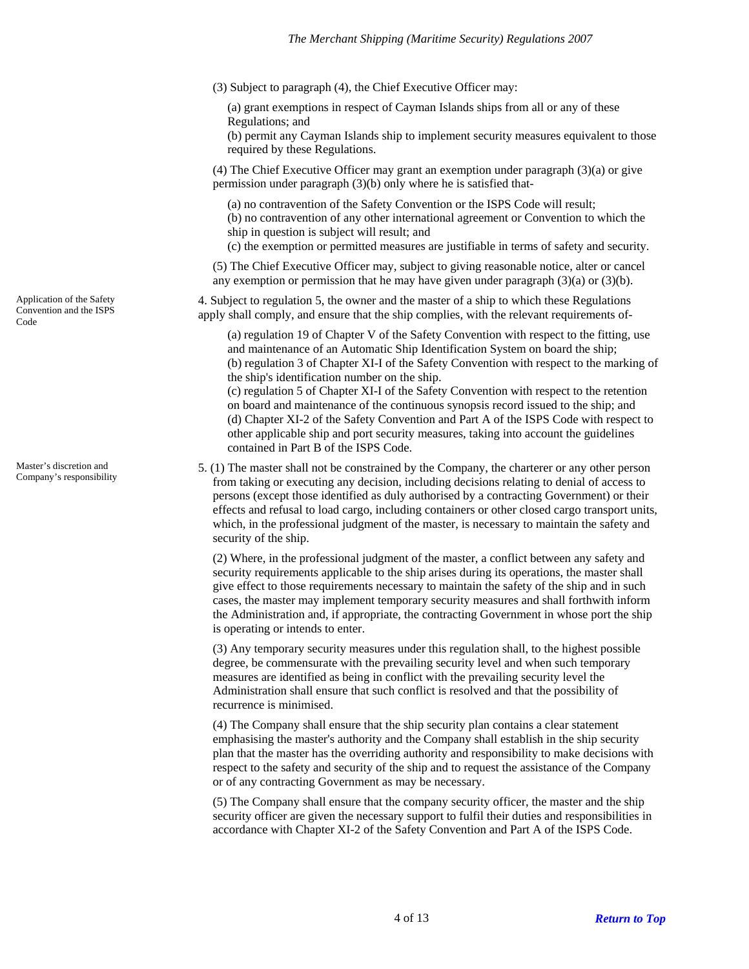- (3) Subject to paragraph (4), the Chief Executive Officer may:
	- (a) grant exemptions in respect of Cayman Islands ships from all or any of these Regulations; and
	- (b) permit any Cayman Islands ship to implement security measures equivalent to those required by these Regulations.
- (4) The Chief Executive Officer may grant an exemption under paragraph (3)(a) or give permission under paragraph (3)(b) only where he is satisfied that-
	- (a) no contravention of the Safety Convention or the ISPS Code will result; (b) no contravention of any other international agreement or Convention to which the ship in question is subject will result; and
	- (c) the exemption or permitted measures are justifiable in terms of safety and security.
- (5) The Chief Executive Officer may, subject to giving reasonable notice, alter or cancel any exemption or permission that he may have given under paragraph (3)(a) or (3)(b).

4. Subject to regulation 5, the owner and the master of a ship to which these Regulations apply shall comply, and ensure that the ship complies, with the relevant requirements of-

(a) regulation 19 of Chapter V of the Safety Convention with respect to the fitting, use and maintenance of an Automatic Ship Identification System on board the ship; (b) regulation 3 of Chapter XI-I of the Safety Convention with respect to the marking of the ship's identification number on the ship.

(c) regulation 5 of Chapter XI-I of the Safety Convention with respect to the retention on board and maintenance of the continuous synopsis record issued to the ship; and (d) Chapter XI-2 of the Safety Convention and Part A of the ISPS Code with respect to other applicable ship and port security measures, taking into account the guidelines contained in Part B of the ISPS Code.

5. (1) The master shall not be constrained by the Company, the charterer or any other person from taking or executing any decision, including decisions relating to denial of access to persons (except those identified as duly authorised by a contracting Government) or their effects and refusal to load cargo, including containers or other closed cargo transport units, which, in the professional judgment of the master, is necessary to maintain the safety and security of the ship.

(2) Where, in the professional judgment of the master, a conflict between any safety and security requirements applicable to the ship arises during its operations, the master shall give effect to those requirements necessary to maintain the safety of the ship and in such cases, the master may implement temporary security measures and shall forthwith inform the Administration and, if appropriate, the contracting Government in whose port the ship is operating or intends to enter.

(3) Any temporary security measures under this regulation shall, to the highest possible degree, be commensurate with the prevailing security level and when such temporary measures are identified as being in conflict with the prevailing security level the Administration shall ensure that such conflict is resolved and that the possibility of recurrence is minimised.

(4) The Company shall ensure that the ship security plan contains a clear statement emphasising the master's authority and the Company shall establish in the ship security plan that the master has the overriding authority and responsibility to make decisions with respect to the safety and security of the ship and to request the assistance of the Company or of any contracting Government as may be necessary.

(5) The Company shall ensure that the company security officer, the master and the ship security officer are given the necessary support to fulfil their duties and responsibilities in accordance with Chapter XI-2 of the Safety Convention and Part A of the ISPS Code.

<span id="page-3-0"></span>Application of the Safety Convention and the ISPS Code

<span id="page-3-1"></span>Master's discretion and Company's responsibility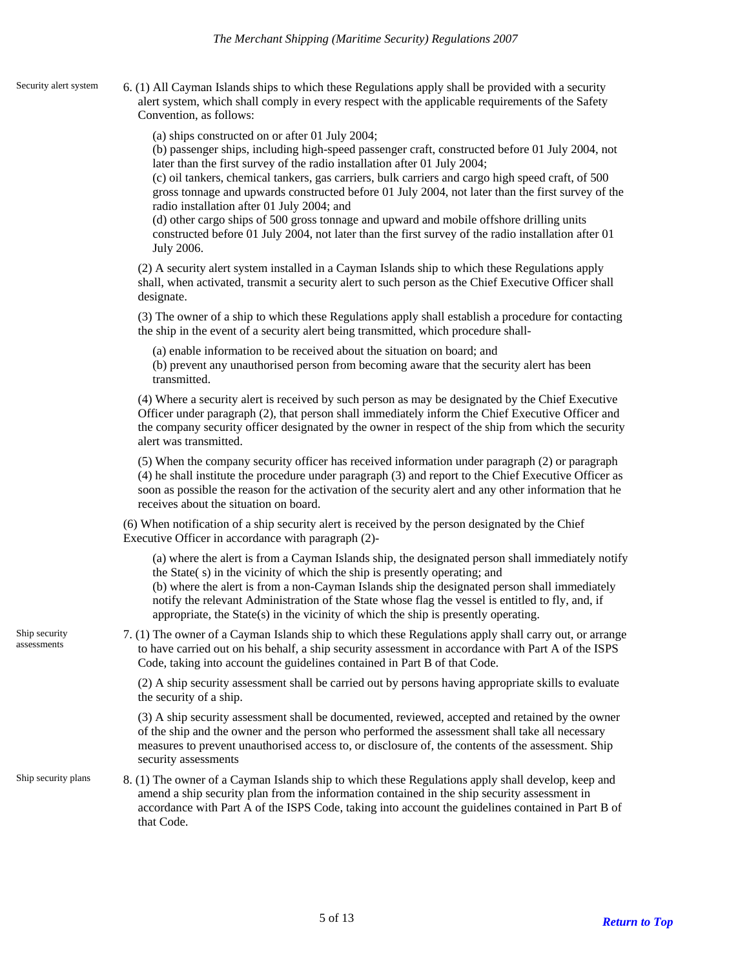<span id="page-4-0"></span>Security alert system

6. (1) All Cayman Islands ships to which these Regulations apply shall be provided with a security alert system, which shall comply in every respect with the applicable requirements of the Safety Convention, as follows:

(a) ships constructed on or after 01 July 2004;

(b) passenger ships, including high-speed passenger craft, constructed before 01 July 2004, not later than the first survey of the radio installation after 01 July 2004;

(c) oil tankers, chemical tankers, gas carriers, bulk carriers and cargo high speed craft, of 500 gross tonnage and upwards constructed before 01 July 2004, not later than the first survey of the radio installation after 01 July 2004; and

(d) other cargo ships of 500 gross tonnage and upward and mobile offshore drilling units constructed before 01 July 2004, not later than the first survey of the radio installation after 01 July 2006.

(2) A security alert system installed in a Cayman Islands ship to which these Regulations apply shall, when activated, transmit a security alert to such person as the Chief Executive Officer shall designate.

(3) The owner of a ship to which these Regulations apply shall establish a procedure for contacting the ship in the event of a security alert being transmitted, which procedure shall-

(a) enable information to be received about the situation on board; and (b) prevent any unauthorised person from becoming aware that the security alert has been transmitted.

(4) Where a security alert is received by such person as may be designated by the Chief Executive Officer under paragraph (2), that person shall immediately inform the Chief Executive Officer and the company security officer designated by the owner in respect of the ship from which the security alert was transmitted.

(5) When the company security officer has received information under paragraph (2) or paragraph (4) he shall institute the procedure under paragraph (3) and report to the Chief Executive Officer as soon as possible the reason for the activation of the security alert and any other information that he receives about the situation on board.

(6) When notification of a ship security alert is received by the person designated by the Chief Executive Officer in accordance with paragraph (2)-

(a) where the alert is from a Cayman Islands ship, the designated person shall immediately notify the State( s) in the vicinity of which the ship is presently operating; and (b) where the alert is from a non-Cayman Islands ship the designated person shall immediately notify the relevant Administration of the State whose flag the vessel is entitled to fly, and, if appropriate, the State(s) in the vicinity of which the ship is presently operating.

<span id="page-4-1"></span>Ship security assessments

7. (1) The owner of a Cayman Islands ship to which these Regulations apply shall carry out, or arrange to have carried out on his behalf, a ship security assessment in accordance with Part A of the ISPS Code, taking into account the guidelines contained in Part B of that Code.

(2) A ship security assessment shall be carried out by persons having appropriate skills to evaluate the security of a ship.

(3) A ship security assessment shall be documented, reviewed, accepted and retained by the owner of the ship and the owner and the person who performed the assessment shall take all necessary measures to prevent unauthorised access to, or disclosure of, the contents of the assessment. Ship security assessments

<span id="page-4-2"></span>8. (1) The owner of a Cayman Islands ship to which these Regulations apply shall develop, keep and amend a ship security plan from the information contained in the ship security assessment in accordance with Part A of the ISPS Code, taking into account the guidelines contained in Part B of that Code. Ship security plans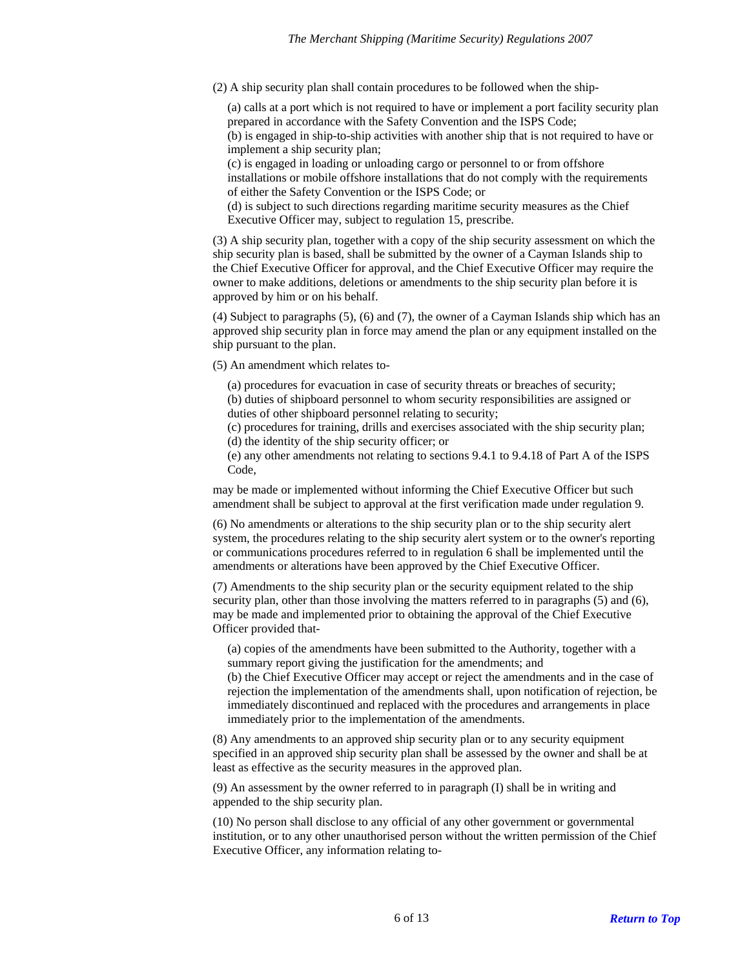(2) A ship security plan shall contain procedures to be followed when the ship-

(a) calls at a port which is not required to have or implement a port facility security plan prepared in accordance with the Safety Convention and the ISPS Code;

(b) is engaged in ship-to-ship activities with another ship that is not required to have or implement a ship security plan;

(c) is engaged in loading or unloading cargo or personnel to or from offshore installations or mobile offshore installations that do not comply with the requirements of either the Safety Convention or the ISPS Code; or

(d) is subject to such directions regarding maritime security measures as the Chief Executive Officer may, subject to regulation 15, prescribe.

(3) A ship security plan, together with a copy of the ship security assessment on which the ship security plan is based, shall be submitted by the owner of a Cayman Islands ship to the Chief Executive Officer for approval, and the Chief Executive Officer may require the owner to make additions, deletions or amendments to the ship security plan before it is approved by him or on his behalf.

(4) Subject to paragraphs (5), (6) and (7), the owner of a Cayman Islands ship which has an approved ship security plan in force may amend the plan or any equipment installed on the ship pursuant to the plan.

(5) An amendment which relates to-

(a) procedures for evacuation in case of security threats or breaches of security;

(b) duties of shipboard personnel to whom security responsibilities are assigned or duties of other shipboard personnel relating to security;

(c) procedures for training, drills and exercises associated with the ship security plan; (d) the identity of the ship security officer; or

(e) any other amendments not relating to sections 9.4.1 to 9.4.18 of Part A of the ISPS Code,

may be made or implemented without informing the Chief Executive Officer but such amendment shall be subject to approval at the first verification made under regulation 9.

(6) No amendments or alterations to the ship security plan or to the ship security alert system, the procedures relating to the ship security alert system or to the owner's reporting or communications procedures referred to in regulation 6 shall be implemented until the amendments or alterations have been approved by the Chief Executive Officer.

(7) Amendments to the ship security plan or the security equipment related to the ship security plan, other than those involving the matters referred to in paragraphs (5) and (6), may be made and implemented prior to obtaining the approval of the Chief Executive Officer provided that-

(a) copies of the amendments have been submitted to the Authority, together with a summary report giving the justification for the amendments; and

(b) the Chief Executive Officer may accept or reject the amendments and in the case of rejection the implementation of the amendments shall, upon notification of rejection, be immediately discontinued and replaced with the procedures and arrangements in place immediately prior to the implementation of the amendments.

(8) Any amendments to an approved ship security plan or to any security equipment specified in an approved ship security plan shall be assessed by the owner and shall be at least as effective as the security measures in the approved plan.

(9) An assessment by the owner referred to in paragraph (I) shall be in writing and appended to the ship security plan.

(10) No person shall disclose to any official of any other government or governmental institution, or to any other unauthorised person without the written permission of the Chief Executive Officer, any information relating to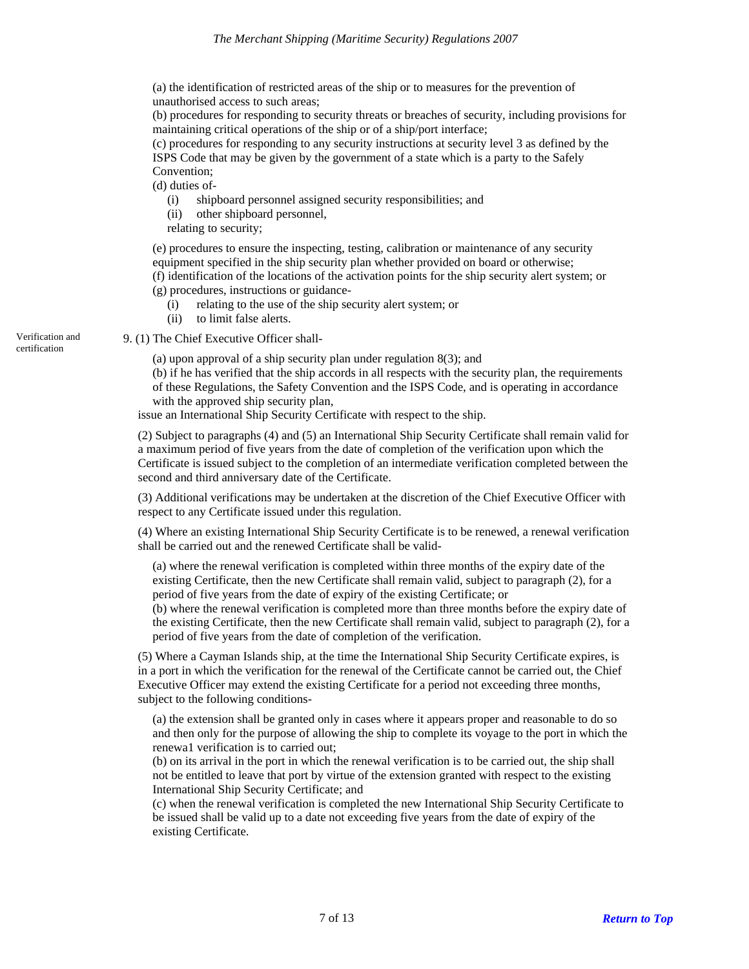(a) the identification of restricted areas of the ship or to measures for the prevention of unauthorised access to such areas;

(b) procedures for responding to security threats or breaches of security, including provisions for maintaining critical operations of the ship or of a ship/port interface;

(c) procedures for responding to any security instructions at security level 3 as defined by the ISPS Code that may be given by the government of a state which is a party to the Safely Convention;

(d) duties of-

- (i) shipboard personnel assigned security responsibilities; and
- (ii) other shipboard personnel,

relating to security;

(e) procedures to ensure the inspecting, testing, calibration or maintenance of any security equipment specified in the ship security plan whether provided on board or otherwise; (f) identification of the locations of the activation points for the ship security alert system; or

(g) procedures, instructions or guidance-

- (i) relating to the use of the ship security alert system; or
- (ii) to limit false alerts.

Verification and 9. (1) The Chief Executive Officer shall-

(a) upon approval of a ship security plan under regulation 8(3); and

(b) if he has verified that the ship accords in all respects with the security plan, the requirements of these Regulations, the Safety Convention and the ISPS Code, and is operating in accordance with the approved ship security plan,

issue an International Ship Security Certificate with respect to the ship.

(2) Subject to paragraphs (4) and (5) an International Ship Security Certificate shall remain valid for a maximum period of five years from the date of completion of the verification upon which the Certificate is issued subject to the completion of an intermediate verification completed between the second and third anniversary date of the Certificate.

(3) Additional verifications may be undertaken at the discretion of the Chief Executive Officer with respect to any Certificate issued under this regulation.

(4) Where an existing International Ship Security Certificate is to be renewed, a renewal verification shall be carried out and the renewed Certificate shall be valid-

(a) where the renewal verification is completed within three months of the expiry date of the existing Certificate, then the new Certificate shall remain valid, subject to paragraph (2), for a period of five years from the date of expiry of the existing Certificate; or

(b) where the renewal verification is completed more than three months before the expiry date of the existing Certificate, then the new Certificate shall remain valid, subject to paragraph (2), for a period of five years from the date of completion of the verification.

(5) Where a Cayman Islands ship, at the time the International Ship Security Certificate expires, is in a port in which the verification for the renewal of the Certificate cannot be carried out, the Chief Executive Officer may extend the existing Certificate for a period not exceeding three months, subject to the following conditions-

(a) the extension shall be granted only in cases where it appears proper and reasonable to do so and then only for the purpose of allowing the ship to complete its voyage to the port in which the renewa1 verification is to carried out;

(b) on its arrival in the port in which the renewal verification is to be carried out, the ship shall not be entitled to leave that port by virtue of the extension granted with respect to the existing International Ship Security Certificate; and

(c) when the renewal verification is completed the new International Ship Security Certificate to be issued shall be valid up to a date not exceeding five years from the date of expiry of the existing Certificate.

<span id="page-6-0"></span>certification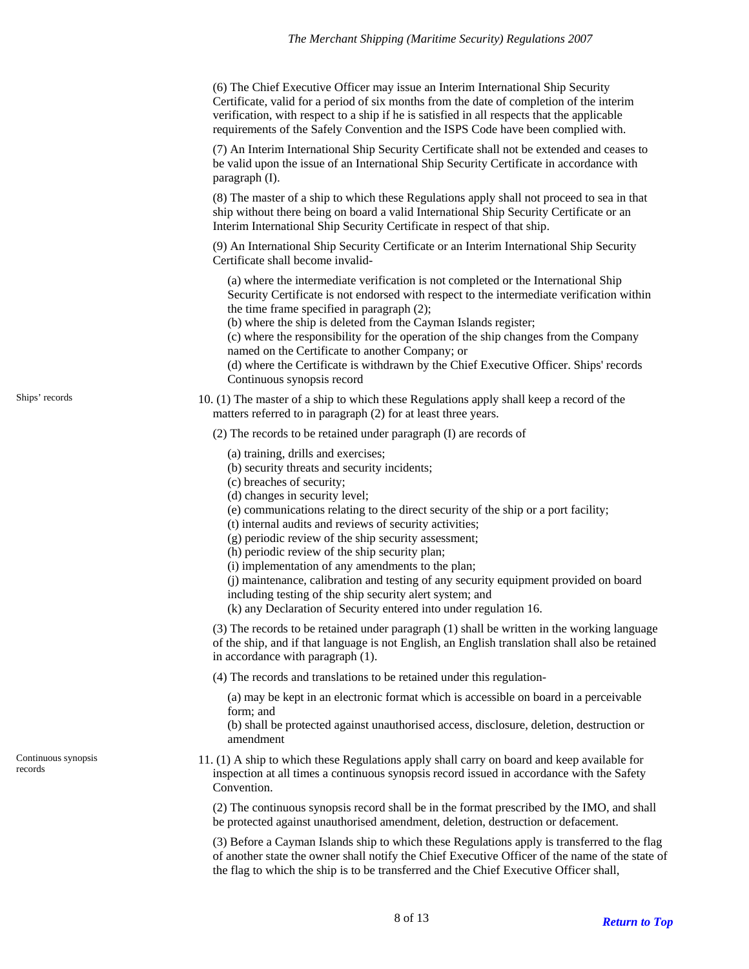(6) The Chief Executive Officer may issue an Interim International Ship Security Certificate, valid for a period of six months from the date of completion of the interim verification, with respect to a ship if he is satisfied in all respects that the applicable requirements of the Safely Convention and the ISPS Code have been complied with.

(7) An Interim International Ship Security Certificate shall not be extended and ceases to be valid upon the issue of an International Ship Security Certificate in accordance with paragraph (I).

(8) The master of a ship to which these Regulations apply shall not proceed to sea in that ship without there being on board a valid International Ship Security Certificate or an Interim International Ship Security Certificate in respect of that ship.

(9) An International Ship Security Certificate or an Interim International Ship Security Certificate shall become invalid-

(a) where the intermediate verification is not completed or the International Ship Security Certificate is not endorsed with respect to the intermediate verification within the time frame specified in paragraph (2);

(b) where the ship is deleted from the Cayman Islands register;

(c) where the responsibility for the operation of the ship changes from the Company named on the Certificate to another Company; or

(d) where the Certificate is withdrawn by the Chief Executive Officer. Ships' records Continuous synopsis record

10. (1) The master of a ship to which these Regulations apply shall keep a record of the matters referred to in paragraph (2) for at least three years.

(2) The records to be retained under paragraph (I) are records of

- (a) training, drills and exercises;
- (b) security threats and security incidents;
- (c) breaches of security;
- (d) changes in security level;
- (e) communications relating to the direct security of the ship or a port facility;
- (t) internal audits and reviews of security activities;
- (g) periodic review of the ship security assessment;
- (h) periodic review of the ship security plan;
- (i) implementation of any amendments to the plan;
- (j) maintenance, calibration and testing of any security equipment provided on board including testing of the ship security alert system; and
- (k) any Declaration of Security entered into under regulation 16.

(3) The records to be retained under paragraph (1) shall be written in the working language of the ship, and if that language is not English, an English translation shall also be retained in accordance with paragraph (1).

(4) The records and translations to be retained under this regulation-

- (a) may be kept in an electronic format which is accessible on board in a perceivable form; and
- (b) shall be protected against unauthorised access, disclosure, deletion, destruction or amendment
- 11. (1) A ship to which these Regulations apply shall carry on board and keep available for inspection at all times a continuous synopsis record issued in accordance with the Safety Convention.

(2) The continuous synopsis record shall be in the format prescribed by the IMO, and shall be protected against unauthorised amendment, deletion, destruction or defacement.

(3) Before a Cayman Islands ship to which these Regulations apply is transferred to the flag of another state the owner shall notify the Chief Executive Officer of the name of the state of the flag to which the ship is to be transferred and the Chief Executive Officer shall,

<span id="page-7-1"></span>Continuous synopsis

records

<span id="page-7-0"></span>Ships' records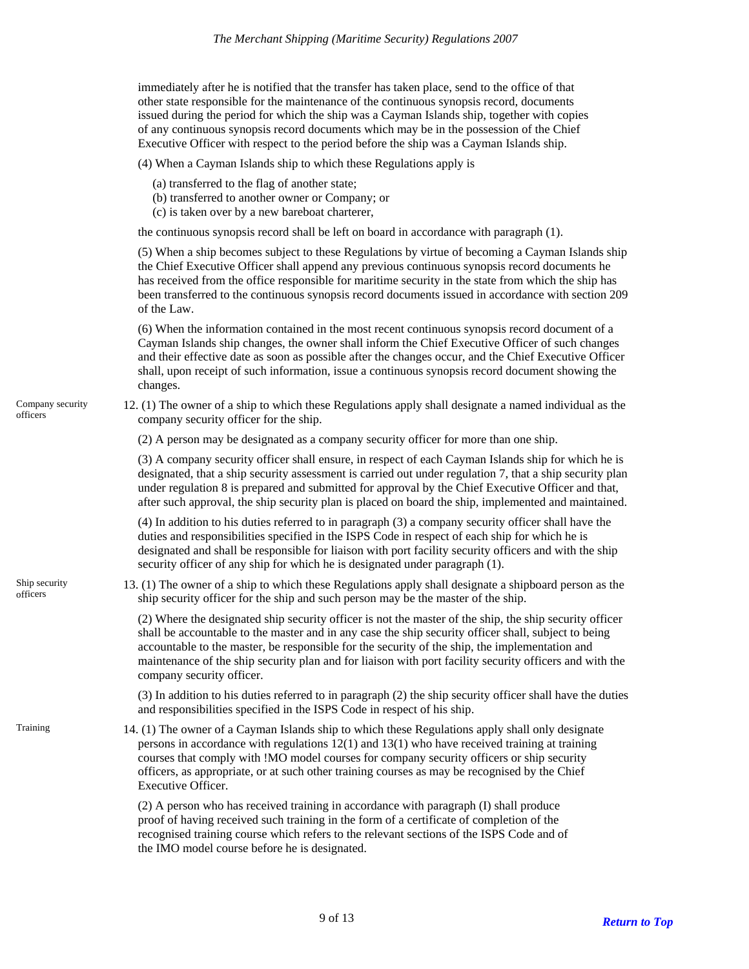immediately after he is notified that the transfer has taken place, send to the office of that other state responsible for the maintenance of the continuous synopsis record, documents issued during the period for which the ship was a Cayman Islands ship, together with copies of any continuous synopsis record documents which may be in the possession of the Chief Executive Officer with respect to the period before the ship was a Cayman Islands ship.

(4) When a Cayman Islands ship to which these Regulations apply is

- (a) transferred to the flag of another state;
- (b) transferred to another owner or Company; or
- (c) is taken over by a new bareboat charterer,

the continuous synopsis record shall be left on board in accordance with paragraph (1).

(5) When a ship becomes subject to these Regulations by virtue of becoming a Cayman Islands ship the Chief Executive Officer shall append any previous continuous synopsis record documents he has received from the office responsible for maritime security in the state from which the ship has been transferred to the continuous synopsis record documents issued in accordance with section 209 of the Law.

(6) When the information contained in the most recent continuous synopsis record document of a Cayman Islands ship changes, the owner shall inform the Chief Executive Officer of such changes and their effective date as soon as possible after the changes occur, and the Chief Executive Officer shall, upon receipt of such information, issue a continuous synopsis record document showing the changes.

12. (1) The owner of a ship to which these Regulations apply shall designate a named individual as the company security officer for the ship.

(2) A person may be designated as a company security officer for more than one ship.

(3) A company security officer shall ensure, in respect of each Cayman Islands ship for which he is designated, that a ship security assessment is carried out under regulation 7, that a ship security plan under regulation 8 is prepared and submitted for approval by the Chief Executive Officer and that, after such approval, the ship security plan is placed on board the ship, implemented and maintained.

(4) In addition to his duties referred to in paragraph (3) a company security officer shall have the duties and responsibilities specified in the ISPS Code in respect of each ship for which he is designated and shall be responsible for liaison with port facility security officers and with the ship security officer of any ship for which he is designated under paragraph (1).

13. (1) The owner of a ship to which these Regulations apply shall designate a shipboard person as the ship security officer for the ship and such person may be the master of the ship.

(2) Where the designated ship security officer is not the master of the ship, the ship security officer shall be accountable to the master and in any case the ship security officer shall, subject to being accountable to the master, be responsible for the security of the ship, the implementation and maintenance of the ship security plan and for liaison with port facility security officers and with the company security officer.

(3) In addition to his duties referred to in paragraph (2) the ship security officer shall have the duties and responsibilities specified in the ISPS Code in respect of his ship.

14. (1) The owner of a Cayman Islands ship to which these Regulations apply shall only designate persons in accordance with regulations 12(1) and 13(1) who have received training at training courses that comply with !MO model courses for company security officers or ship security officers, as appropriate, or at such other training courses as may be recognised by the Chief Executive Officer.

(2) A person who has received training in accordance with paragraph (I) shall produce proof of having received such training in the form of a certificate of completion of the recognised training course which refers to the relevant sections of the ISPS Code and of the IMO model course before he is designated.

<span id="page-8-0"></span>Company security officers

<span id="page-8-1"></span>Ship security officers

<span id="page-8-2"></span>Training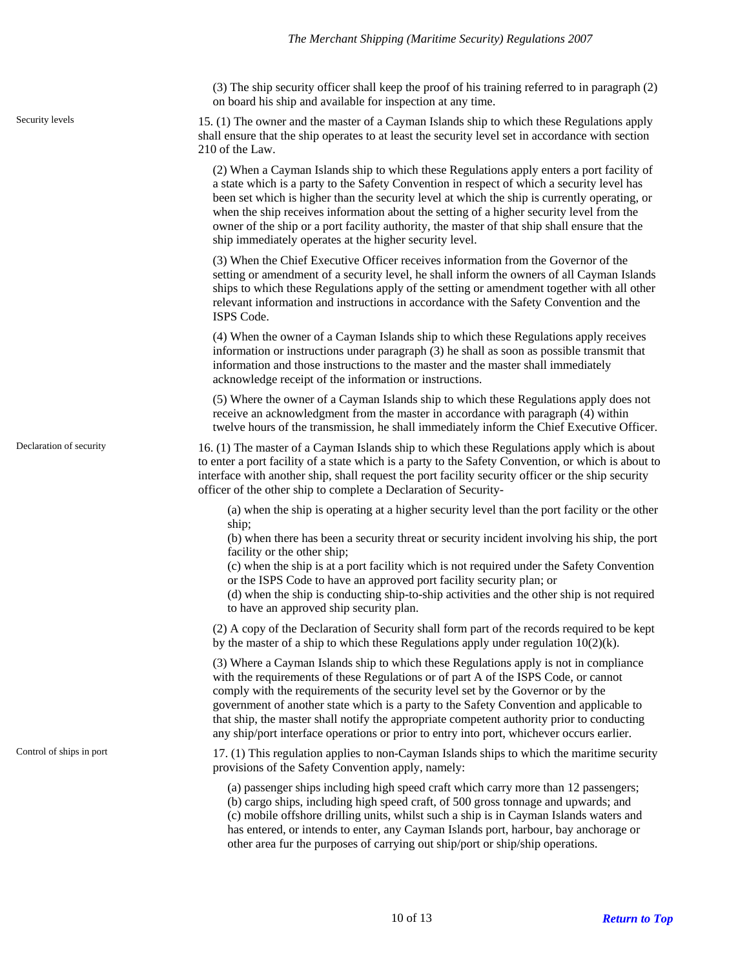<span id="page-9-0"></span>Security levels

<span id="page-9-1"></span>Declaration of security

<span id="page-9-2"></span>Control of ships in port

(3) The ship security officer shall keep the proof of his training referred to in paragraph (2) on board his ship and available for inspection at any time.

15. (1) The owner and the master of a Cayman Islands ship to which these Regulations apply shall ensure that the ship operates to at least the security level set in accordance with section 210 of the Law.

(2) When a Cayman Islands ship to which these Regulations apply enters a port facility of a state which is a party to the Safety Convention in respect of which a security level has been set which is higher than the security level at which the ship is currently operating, or when the ship receives information about the setting of a higher security level from the owner of the ship or a port facility authority, the master of that ship shall ensure that the ship immediately operates at the higher security level.

(3) When the Chief Executive Officer receives information from the Governor of the setting or amendment of a security level, he shall inform the owners of all Cayman Islands ships to which these Regulations apply of the setting or amendment together with all other relevant information and instructions in accordance with the Safety Convention and the ISPS Code.

(4) When the owner of a Cayman Islands ship to which these Regulations apply receives information or instructions under paragraph (3) he shall as soon as possible transmit that information and those instructions to the master and the master shall immediately acknowledge receipt of the information or instructions.

(5) Where the owner of a Cayman Islands ship to which these Regulations apply does not receive an acknowledgment from the master in accordance with paragraph (4) within twelve hours of the transmission, he shall immediately inform the Chief Executive Officer.

16. (1) The master of a Cayman Islands ship to which these Regulations apply which is about to enter a port facility of a state which is a party to the Safety Convention, or which is about to interface with another ship, shall request the port facility security officer or the ship security officer of the other ship to complete a Declaration of Security-

(a) when the ship is operating at a higher security level than the port facility or the other ship;

(b) when there has been a security threat or security incident involving his ship, the port facility or the other ship;

(c) when the ship is at a port facility which is not required under the Safety Convention or the ISPS Code to have an approved port facility security plan; or

(d) when the ship is conducting ship-to-ship activities and the other ship is not required to have an approved ship security plan.

(2) A copy of the Declaration of Security shall form part of the records required to be kept by the master of a ship to which these Regulations apply under regulation  $10(2)(k)$ .

(3) Where a Cayman Islands ship to which these Regulations apply is not in compliance with the requirements of these Regulations or of part A of the ISPS Code, or cannot comply with the requirements of the security level set by the Governor or by the government of another state which is a party to the Safety Convention and applicable to that ship, the master shall notify the appropriate competent authority prior to conducting any ship/port interface operations or prior to entry into port, whichever occurs earlier.

17. (1) This regulation applies to non-Cayman Islands ships to which the maritime security provisions of the Safety Convention apply, namely:

(a) passenger ships including high speed craft which carry more than 12 passengers; (b) cargo ships, including high speed craft, of 500 gross tonnage and upwards; and (c) mobile offshore drilling units, whilst such a ship is in Cayman Islands waters and has entered, or intends to enter, any Cayman Islands port, harbour, bay anchorage or

other area fur the purposes of carrying out ship/port or ship/ship operations.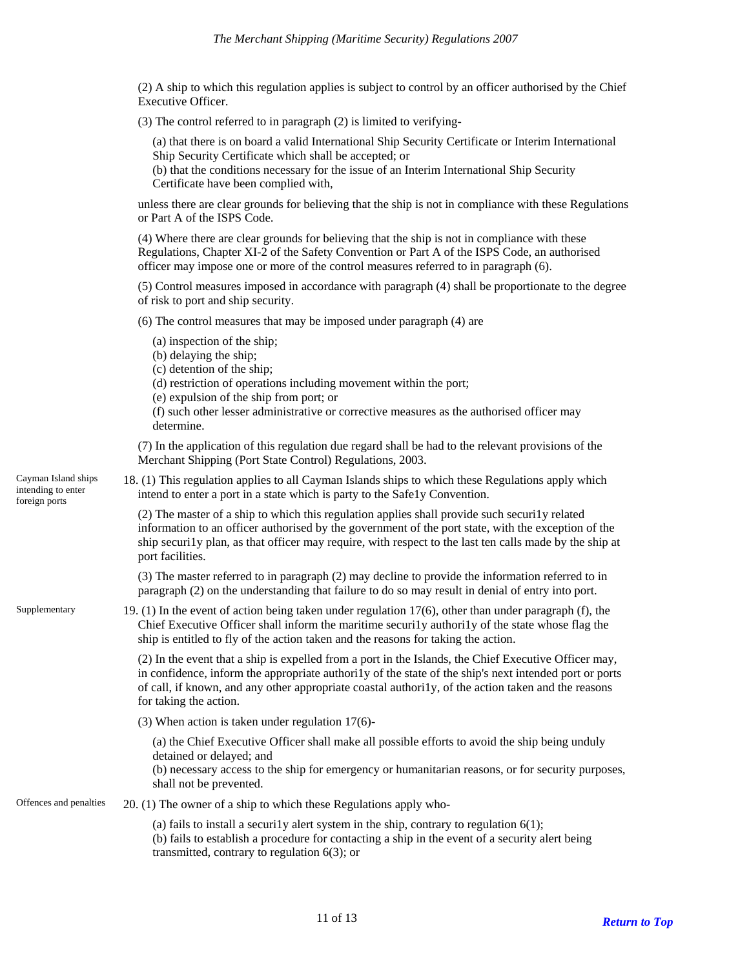(2) A ship to which this regulation applies is subject to control by an officer authorised by the Chief Executive Officer.

(3) The control referred to in paragraph (2) is limited to verifying-

(a) that there is on board a valid International Ship Security Certificate or Interim International Ship Security Certificate which shall be accepted; or

(b) that the conditions necessary for the issue of an Interim International Ship Security Certificate have been complied with,

unless there are clear grounds for believing that the ship is not in compliance with these Regulations or Part A of the ISPS Code.

(4) Where there are clear grounds for believing that the ship is not in compliance with these Regulations, Chapter XI-2 of the Safety Convention or Part A of the ISPS Code, an authorised officer may impose one or more of the control measures referred to in paragraph (6).

(5) Control measures imposed in accordance with paragraph (4) shall be proportionate to the degree of risk to port and ship security.

(6) The control measures that may be imposed under paragraph (4) are

- (a) inspection of the ship;
- (b) delaying the ship;

foreign ports

- (c) detention of the ship;
- (d) restriction of operations including movement within the port;
- (e) expulsion of the ship from port; or
- (f) such other lesser administrative or corrective measures as the authorised officer may determine.

(7) In the application of this regulation due regard shall be had to the relevant provisions of the Merchant Shipping (Port State Control) Regulations, 2003.

<span id="page-10-0"></span>18. (1) This regulation applies to all Cayman Islands ships to which these Regulations apply which intend to enter a port in a state which is party to the Safe1y Convention. Cayman Island ships intending to enter

> (2) The master of a ship to which this regulation applies shall provide such securi1y related information to an officer authorised by the government of the port state, with the exception of the ship securi1y plan, as that officer may require, with respect to the last ten calls made by the ship at port facilities.

(3) The master referred to in paragraph (2) may decline to provide the information referred to in paragraph (2) on the understanding that failure to do so may result in denial of entry into port.

<span id="page-10-1"></span>19. (1) In the event of action being taken under regulation 17(6), other than under paragraph (f), the Chief Executive Officer shall inform the maritime securi1y authori1y of the state whose flag the ship is entitled to fly of the action taken and the reasons for taking the action. Supplementary

> (2) In the event that a ship is expelled from a port in the Islands, the Chief Executive Officer may, in confidence, inform the appropriate authori1y of the state of the ship's next intended port or ports of call, if known, and any other appropriate coastal authori1y, of the action taken and the reasons for taking the action.

(3) When action is taken under regulation 17(6)-

(a) the Chief Executive Officer shall make all possible efforts to avoid the ship being unduly detained or delayed; and

(b) necessary access to the ship for emergency or humanitarian reasons, or for security purposes, shall not be prevented.

<span id="page-10-2"></span>Offences and penalties  $20. (1)$  The owner of a ship to which these Regulations apply who-

(a) fails to install a securi1y alert system in the ship, contrary to regulation  $6(1)$ ; (b) fails to establish a procedure for contacting a ship in the event of a security alert being transmitted, contrary to regulation 6(3); or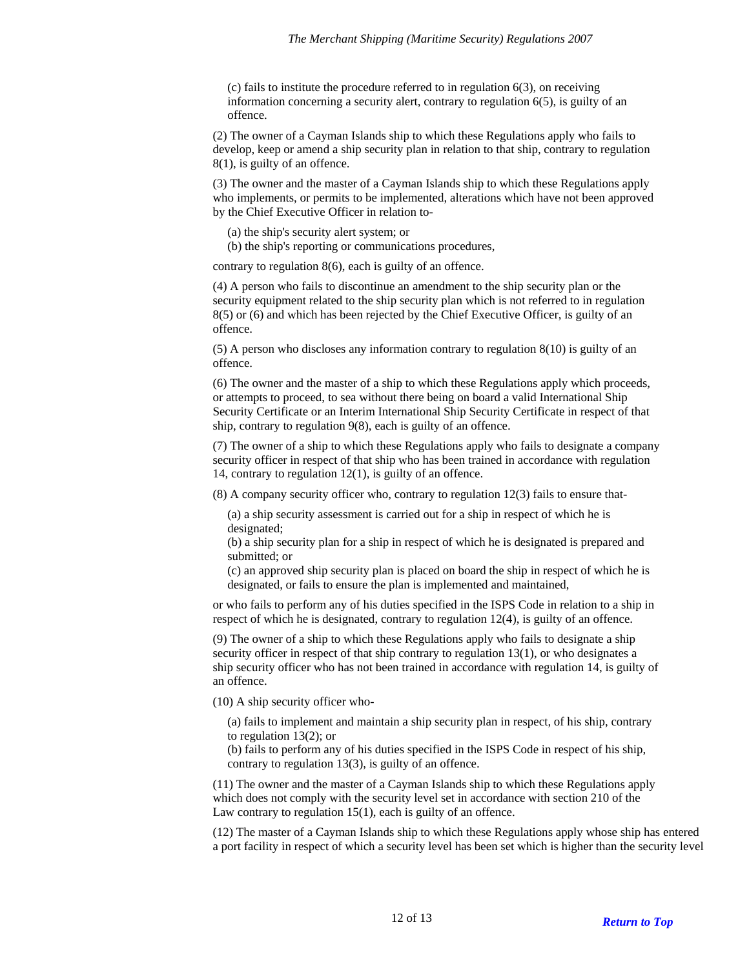(c) fails to institute the procedure referred to in regulation 6(3), on receiving information concerning a security alert, contrary to regulation 6(5), is guilty of an offence.

(2) The owner of a Cayman Islands ship to which these Regulations apply who fails to develop, keep or amend a ship security plan in relation to that ship, contrary to regulation 8(1), is guilty of an offence.

(3) The owner and the master of a Cayman Islands ship to which these Regulations apply who implements, or permits to be implemented, alterations which have not been approved by the Chief Executive Officer in relation to-

(a) the ship's security alert system; or

(b) the ship's reporting or communications procedures,

contrary to regulation 8(6), each is guilty of an offence.

(4) A person who fails to discontinue an amendment to the ship security plan or the security equipment related to the ship security plan which is not referred to in regulation 8(5) or (6) and which has been rejected by the Chief Executive Officer, is guilty of an offence.

(5) A person who discloses any information contrary to regulation 8(10) is guilty of an offence.

(6) The owner and the master of a ship to which these Regulations apply which proceeds, or attempts to proceed, to sea without there being on board a valid International Ship Security Certificate or an Interim International Ship Security Certificate in respect of that ship, contrary to regulation 9(8), each is guilty of an offence.

(7) The owner of a ship to which these Regulations apply who fails to designate a company security officer in respect of that ship who has been trained in accordance with regulation 14, contrary to regulation 12(1), is guilty of an offence.

(8) A company security officer who, contrary to regulation 12(3) fails to ensure that-

(a) a ship security assessment is carried out for a ship in respect of which he is designated;

(b) a ship security plan for a ship in respect of which he is designated is prepared and submitted; or

(c) an approved ship security plan is placed on board the ship in respect of which he is designated, or fails to ensure the plan is implemented and maintained,

or who fails to perform any of his duties specified in the ISPS Code in relation to a ship in respect of which he is designated, contrary to regulation 12(4), is guilty of an offence.

(9) The owner of a ship to which these Regulations apply who fails to designate a ship security officer in respect of that ship contrary to regulation 13(1), or who designates a ship security officer who has not been trained in accordance with regulation 14, is guilty of an offence.

(10) A ship security officer who-

(a) fails to implement and maintain a ship security plan in respect, of his ship, contrary to regulation 13(2); or

(b) fails to perform any of his duties specified in the ISPS Code in respect of his ship, contrary to regulation 13(3), is guilty of an offence.

(11) The owner and the master of a Cayman Islands ship to which these Regulations apply which does not comply with the security level set in accordance with section 210 of the Law contrary to regulation 15(1), each is guilty of an offence.

(12) The master of a Cayman Islands ship to which these Regulations apply whose ship has entered a port facility in respect of which a security level has been set which is higher than the security level